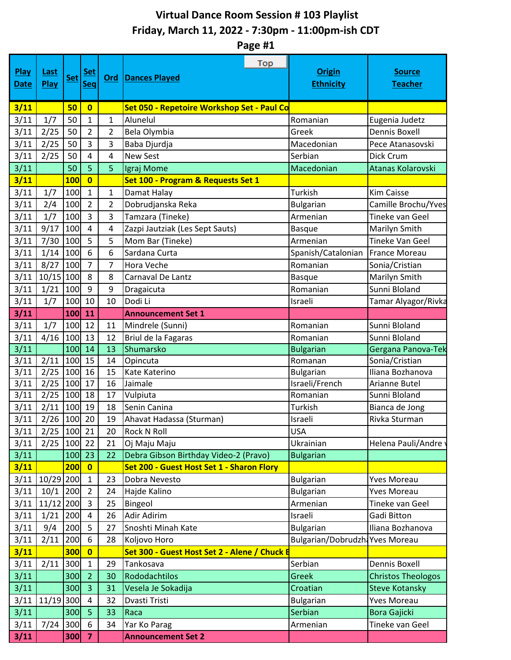## **Virtual Dance Room Session # 103 Playlist Friday, March 11, 2022 - 7:30pm - 11:00pm-ish CDT**

**Page #1**

| Play<br><b>Date</b> | <u>Last</u><br>Play | <b>Set</b> | <u>Set</u><br>Seq       | <u>Ord</u>     | Top<br><b>Dances Played</b>                  | <b>Origin</b><br><b>Ethnicity</b> | <b>Source</b><br><b>Teacher</b> |
|---------------------|---------------------|------------|-------------------------|----------------|----------------------------------------------|-----------------------------------|---------------------------------|
| 3/11                |                     | 50         | $\mathbf{0}$            |                | Set 050 - Repetoire Workshop Set - Paul Co   |                                   |                                 |
| 3/11                | 1/7                 | 50         | $\mathbf{1}$            | 1              | Alunelul                                     | Romanian                          | Eugenia Judetz                  |
| 3/11                | 2/25                | 50         | $\overline{2}$          | $\overline{2}$ | Bela Olymbia                                 | Greek                             | <b>Dennis Boxell</b>            |
| 3/11                | 2/25                | 50         | 3                       | 3              | Baba Djurdja                                 | Macedonian                        | Pece Atanasovski                |
| 3/11                | 2/25                | 50         | 4                       | 4              | <b>New Sest</b>                              | Serbian                           | Dick Crum                       |
| 3/11                |                     | 50         | 5                       | 5              | Igraj Mome                                   | Macedonian                        | Atanas Kolarovski               |
| 3/11                |                     | <b>100</b> | $\overline{\mathbf{0}}$ |                | Set 100 - Program & Requests Set 1           |                                   |                                 |
| 3/11                | 1/7                 | 100        | $\mathbf{1}$            | 1              | Damat Halay                                  | Turkish                           | <b>Kim Caisse</b>               |
| 3/11                | 2/4                 | 100        | $\overline{2}$          | 2              | Dobrudjanska Reka                            | <b>Bulgarian</b>                  | Camille Brochu/Yves             |
| 3/11                | 1/7                 | 100        | 3                       | 3              | Tamzara (Tineke)                             | Armenian                          | Tineke van Geel                 |
| 3/11                | 9/17                | 100        | $\overline{4}$          | 4              | Zazpi Jautziak (Les Sept Sauts)              | <b>Basque</b>                     | Marilyn Smith                   |
| 3/11                | 7/30                | 100        | 5                       | 5              | Mom Bar (Tineke)                             | Armenian                          | <b>Tineke Van Geel</b>          |
| 3/11                | 1/14                | 100        | 6                       | 6              | Sardana Curta                                | Spanish/Catalonian                | <b>France Moreau</b>            |
| 3/11                | 8/27                | 100        | $\overline{7}$          | 7              | Hora Veche                                   | Romanian                          | Sonia/Cristian                  |
| 3/11                | 10/15 100           |            | 8                       | 8              | Carnaval De Lantz                            | <b>Basque</b>                     | Marilyn Smith                   |
| 3/11                | 1/21                | 100        | 9                       | 9              | Dragaicuta                                   | Romanian                          | Sunni Bloland                   |
| 3/11                | 1/7                 | 100        | 10                      | 10             | Dodi Li                                      | Israeli                           | Tamar Alyagor/Rivka             |
| 3/11                |                     | 100        | 11                      |                | <b>Announcement Set 1</b>                    |                                   |                                 |
| 3/11                | 1/7                 | 100        | 12                      | 11             | Mindrele (Sunni)                             | Romanian                          | Sunni Bloland                   |
| 3/11                | $4/16$ 100          |            | 13                      | 12             | Briul de la Fagaras                          | Romanian                          | Sunni Bloland                   |
| 3/11                |                     | 100        | 14                      | 13             | Shumarsko                                    | <b>Bulgarian</b>                  | Gergana Panova-Tek              |
| 3/11                | 2/11                | 100        | 15                      | 14             | Opincuta                                     | Romanan                           | Sonia/Cristian                  |
| 3/11                | 2/25                | 100        | 16                      | 15             | Kate Katerino                                | <b>Bulgarian</b>                  | Iliana Bozhanova                |
| 3/11                | 2/25                | 100        | 17                      | 16             | Jaimale                                      | Israeli/French                    | Arianne Butel                   |
| 3/11                | 2/25                | 100        | 18                      | 17             | Vulpiuta                                     | Romanian                          | Sunni Bloland                   |
| 3/11                | 2/11                | 100        | 19                      | 18             | Senin Canina                                 | Turkish                           | Bianca de Jong                  |
| 3/11                | 2/26                | 100        | 20                      | 19             | Ahavat Hadassa (Sturman)                     | Israeli                           | Rivka Sturman                   |
| 3/11                | $2/25$ 100 21       |            |                         | 20             | <b>Rock N Roll</b>                           | <b>USA</b>                        |                                 |
| 3/11                | $2/25$ 100          |            | 22                      | 21             | Oj Maju Maju                                 | Ukrainian                         | Helena Pauli/Andre              |
| 3/11                |                     | 100        | 23                      | 22             | Debra Gibson Birthday Video-2 (Pravo)        | <b>Bulgarian</b>                  |                                 |
| 3/11                |                     | 200        | $\mathbf{0}$            |                | Set 200 - Guest Host Set 1 - Sharon Flory    |                                   |                                 |
| 3/11                | 10/29 200           |            | $\mathbf{1}$            | 23             | Dobra Nevesto                                | <b>Bulgarian</b>                  | <b>Yves Moreau</b>              |
| 3/11                | 10/1                | 200        | $\overline{2}$          | 24             | Hajde Kalino                                 | <b>Bulgarian</b>                  | <b>Yves Moreau</b>              |
| 3/11                | 11/12 200           |            | $\overline{3}$          | 25             | Bingeol                                      | Armenian                          | Tineke van Geel                 |
| 3/11                | 1/21                | 200        | 4                       | 26             | Adir Adirim                                  | Israeli                           | Gadi Bitton                     |
| 3/11                | 9/4                 | 200        | 5                       | 27             | Snoshti Minah Kate                           | <b>Bulgarian</b>                  | Iliana Bozhanova                |
| 3/11                | 2/11                | 200        | 6                       | 28             | Koljovo Horo                                 | Bulgarian/Dobrudzh: Yves Moreau   |                                 |
| 3/11                |                     | 300        | $\overline{0}$          |                | Set 300 - Guest Host Set 2 - Alene / Chuck E |                                   |                                 |
| 3/11                | 2/11                | 300        | $\mathbf{1}$            | 29             | Tankosava                                    | Serbian                           | Dennis Boxell                   |
| 3/11                |                     | 300        | $\overline{2}$          | 30             | Rododachtilos                                | Greek                             | <b>Christos Theologos</b>       |
| 3/11                |                     | 300        | $\overline{3}$          | 31             | Vesela Je Sokadija                           | Croatian                          | <b>Steve Kotansky</b>           |
| 3/11                | 11/19 300           |            | 4                       | 32             | Dvasti Tristi                                | <b>Bulgarian</b>                  | <b>Yves Moreau</b>              |
| 3/11                |                     | 300        | 5                       | 33             | Raca                                         | Serbian                           | <b>Bora Gajicki</b>             |
| 3/11                | 7/24                | 300        | 6                       | 34             | Yar Ko Parag                                 | Armenian                          | Tineke van Geel                 |
| 3/11                |                     | 300        | $\overline{\mathbf{z}}$ |                | <b>Announcement Set 2</b>                    |                                   |                                 |